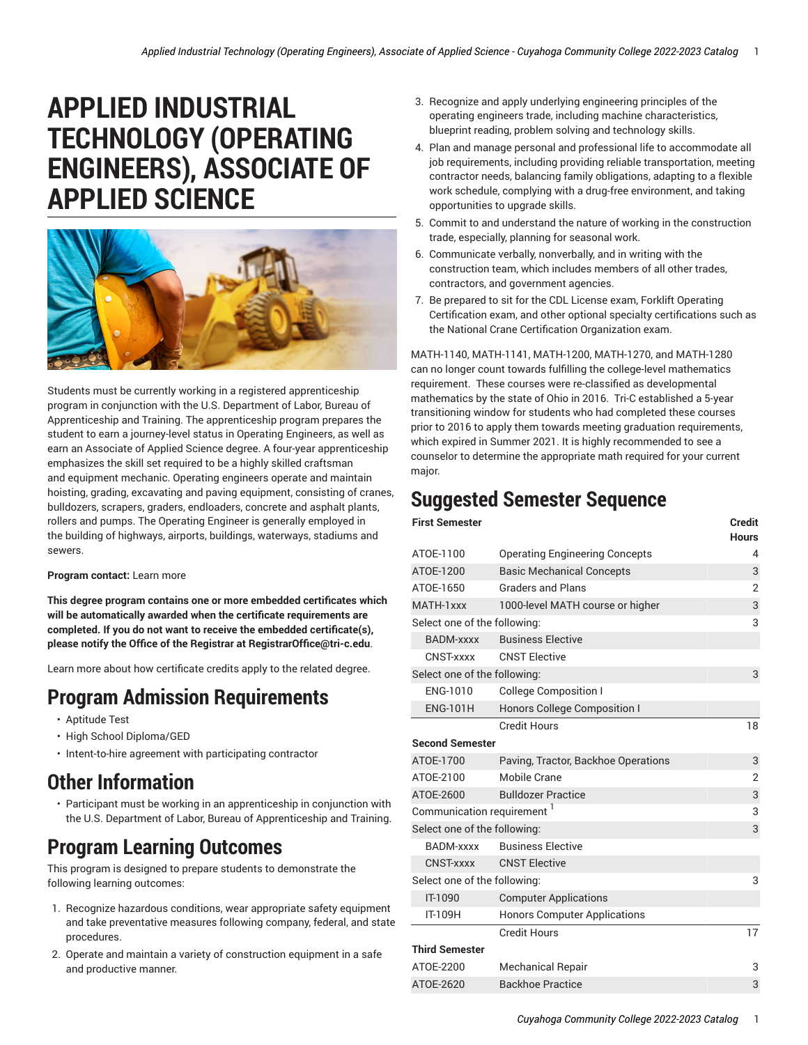# **APPLIED INDUSTRIAL TECHNOLOGY (OPERATING ENGINEERS), ASSOCIATE OF APPLIED SCIENCE**



Students must be currently working in a registered apprenticeship program in conjunction with the U.S. Department of Labor, Bureau of Apprenticeship and Training. The apprenticeship program prepares the student to earn a journey-level status in Operating Engineers, as well as earn an Associate of Applied Science degree. A four-year apprenticeship emphasizes the skill set required to be a highly skilled craftsman and equipment mechanic. Operating engineers operate and maintain hoisting, grading, excavating and paving equipment, consisting of cranes, bulldozers, scrapers, graders, endloaders, concrete and asphalt plants, rollers and pumps. The Operating Engineer is generally employed in the building of highways, airports, buildings, waterways, stadiums and sewers.

#### **Program contact:** [Learn](http://www.tri-c.edu/programs/applied-industrial-technology/skilled-construction-trades/operating-engineers/) more

**This degree program contains one or more embedded certificates which will be automatically awarded when the certificate requirements are completed. If you do not want to receive the embedded certificate(s), please notify the Office of the Registrar at RegistrarOffice@tri-c.edu**.

[Learn](http://catalog.tri-c.edu/pathways/apprenticeship-programs-construction-trades-manufacturing/applied-industrial-technology-operating-engineers-apprenticeship/) more about how certificate credits apply to the related degree.

### **Program Admission Requirements**

- Aptitude Test
- High School Diploma/GED
- Intent-to-hire agreement with participating contractor

### **Other Information**

• Participant must be working in an apprenticeship in conjunction with the U.S. Department of Labor, Bureau of Apprenticeship and Training.

### **Program Learning Outcomes**

This program is designed to prepare students to demonstrate the following learning outcomes:

- 1. Recognize hazardous conditions, wear appropriate safety equipment and take preventative measures following company, federal, and state procedures.
- 2. Operate and maintain a variety of construction equipment in a safe and productive manner.
- 3. Recognize and apply underlying engineering principles of the operating engineers trade, including machine characteristics, blueprint reading, problem solving and technology skills.
- 4. Plan and manage personal and professional life to accommodate all job requirements, including providing reliable transportation, meeting contractor needs, balancing family obligations, adapting to a flexible work schedule, complying with a drug-free environment, and taking opportunities to upgrade skills.
- 5. Commit to and understand the nature of working in the construction trade, especially, planning for seasonal work.
- 6. Communicate verbally, nonverbally, and in writing with the construction team, which includes members of all other trades, contractors, and government agencies.
- 7. Be prepared to sit for the CDL License exam, Forklift Operating Certification exam, and other optional specialty certifications such as the National Crane Certification Organization exam.

MATH-1140, MATH-1141, MATH-1200, MATH-1270, and MATH-1280 can no longer count towards fulfilling the college-level mathematics requirement. These courses were re-classified as developmental mathematics by the state of Ohio in 2016. Tri-C established a 5-year transitioning window for students who had completed these courses prior to 2016 to apply them towards meeting graduation requirements, which expired in Summer 2021. It is highly recommended to see a counselor to determine the appropriate math required for your current major.

## **Suggested Semester Sequence**

| <b>First Semester</b>                  |                                       | <b>Credit</b><br><b>Hours</b> |
|----------------------------------------|---------------------------------------|-------------------------------|
| ATOE-1100                              | <b>Operating Engineering Concepts</b> | 4                             |
| ATOE-1200                              | <b>Basic Mechanical Concepts</b>      | 3                             |
| ATOE-1650                              | <b>Graders and Plans</b>              | 2                             |
| MATH-1xxx                              | 1000-level MATH course or higher      | 3                             |
| Select one of the following:           |                                       | 3                             |
| BADM-xxxx                              | <b>Business Elective</b>              |                               |
| CNST-xxxx                              | <b>CNST Elective</b>                  |                               |
| Select one of the following:           |                                       | 3                             |
| ENG-1010                               | <b>College Composition I</b>          |                               |
| <b>ENG-101H</b>                        | Honors College Composition I          |                               |
|                                        | <b>Credit Hours</b>                   | 18                            |
| <b>Second Semester</b>                 |                                       |                               |
| ATOE-1700                              | Paving, Tractor, Backhoe Operations   | 3                             |
| ATOE-2100                              | Mobile Crane                          | $\overline{2}$                |
| ATOE-2600                              | <b>Bulldozer Practice</b>             | 3                             |
| Communication requirement <sup>1</sup> |                                       | 3                             |
| Select one of the following:           |                                       | 3                             |
| <b>BADM-xxxx</b>                       | <b>Business Elective</b>              |                               |
| <b>CNST-xxxx</b>                       | <b>CNST Elective</b>                  |                               |
| Select one of the following:           |                                       | 3                             |
| IT-1090                                | <b>Computer Applications</b>          |                               |
| IT-109H                                | <b>Honors Computer Applications</b>   |                               |
|                                        | <b>Credit Hours</b>                   | 17                            |
| <b>Third Semester</b>                  |                                       |                               |
| ATOE-2200                              | <b>Mechanical Repair</b>              | 3                             |
| ATOE-2620                              | Backhoe Practice                      | 3                             |